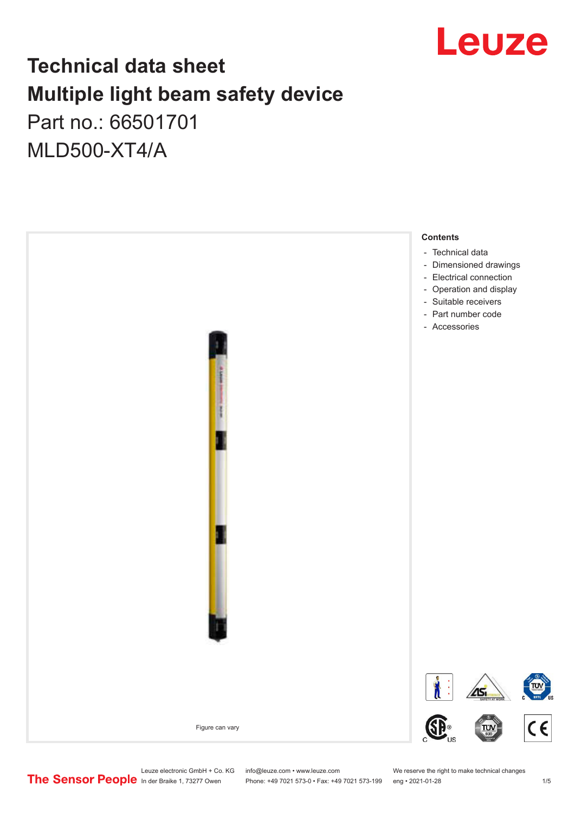

## **Technical data sheet Multiple light beam safety device**  Part no.: 66501701

MLD500-XT4/A



Leuze electronic GmbH + Co. KG info@leuze.com • www.leuze.com We reserve the right to make technical changes<br>
The Sensor People in der Braike 1, 73277 Owen Phone: +49 7021 573-0 • Fax: +49 7021 573-199 eng • 2021-01-28

Phone: +49 7021 573-0 • Fax: +49 7021 573-199 eng • 2021-01-28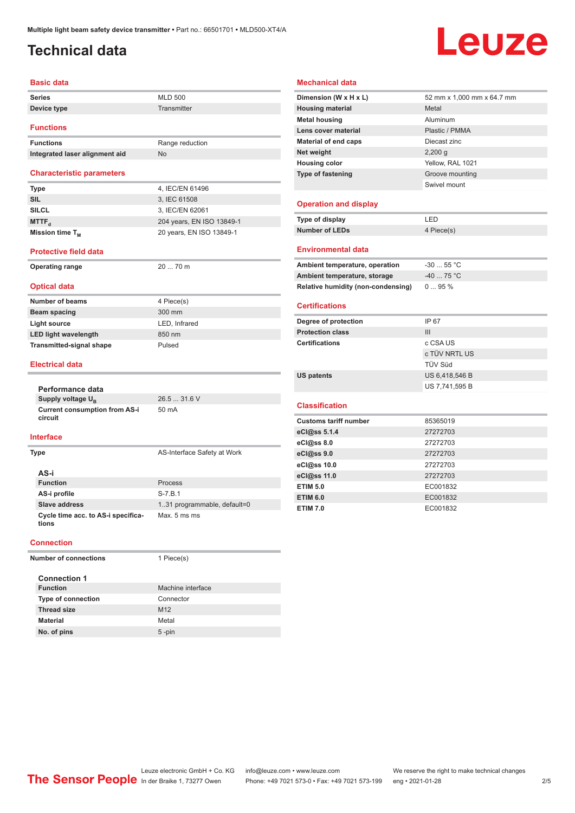## <span id="page-1-0"></span>**Technical data**

# Leuze

#### **Basic data**

| <b>Series</b>    | <b>MLD 500</b> |  |
|------------------|----------------|--|
| Device type      | Transmitter    |  |
| <b>Functions</b> |                |  |

| <b>Functions</b>               | Range reduction |
|--------------------------------|-----------------|
| Integrated laser alignment aid | No.             |

#### **Characteristic parameters**

| <b>Type</b>                 | 4. IEC/EN 61496           |
|-----------------------------|---------------------------|
| <b>SIL</b>                  | 3. IEC 61508              |
| <b>SILCL</b>                | 3. IEC/EN 62061           |
| MTTF <sub>4</sub>           | 204 years, EN ISO 13849-1 |
| Mission time T <sub>M</sub> | 20 years, EN ISO 13849-1  |

**Operating range** 20 ... 70 m

#### **Protective field data**

|  | <b>Operating range</b> |  |
|--|------------------------|--|
|  |                        |  |

#### **Optical data**

| <b>Number of beams</b>          | 4 Piece(s)    |
|---------------------------------|---------------|
| Beam spacing                    | 300 mm        |
| Light source                    | LED. Infrared |
| <b>LED light wavelength</b>     | 850 nm        |
| <b>Transmitted-signal shape</b> | Pulsed        |

#### **Electrical data**

|  | Performance data                                             |                              |  |  |
|--|--------------------------------------------------------------|------------------------------|--|--|
|  | Supply voltage U <sub>R</sub>                                | 26.531.6V                    |  |  |
|  | <b>Current consumption from AS-i</b><br>circuit<br>Interface | 50 mA                        |  |  |
|  |                                                              |                              |  |  |
|  | Type                                                         | AS-Interface Safety at Work  |  |  |
|  | AS-i                                                         |                              |  |  |
|  | <b>Function</b>                                              | Process                      |  |  |
|  | AS-i profile                                                 | $S - 7.B.1$                  |  |  |
|  | Slave address                                                | 1.31 programmable, default=0 |  |  |

#### **Net weight** 2,200 g **Housing color** Yellow, RAL 1021 **Type of fastening** Groove mounting

**Mechanical data**

#### **Operation and display**

| Type of display       | I FD.      |
|-----------------------|------------|
| <b>Number of LEDs</b> | 4 Piece(s) |
|                       |            |

Swivel mount

**Dimension (W x H x L)** 52 mm x 1,000 mm x 64.7 mm

**Housing material** Metal **Metal housing Aluminum Lens cover material** Plastic / PMMA **Material of end caps** Diecast zinc

#### **Environmental data**

| Ambient temperature, operation     | $-3055$ °C  |
|------------------------------------|-------------|
| Ambient temperature, storage       | $-40$ 75 °C |
| Relative humidity (non-condensing) | $095\%$     |

#### **Certifications**

| Degree of protection    | IP 67          |
|-------------------------|----------------|
| <b>Protection class</b> | Ш              |
| <b>Certifications</b>   | c CSA US       |
|                         | c TÜV NRTL US  |
|                         | TÜV Süd        |
| <b>US patents</b>       | US 6,418,546 B |
|                         | US 7,741,595 B |

#### **Classification**

| <b>Customs tariff number</b> | 85365019 |
|------------------------------|----------|
| eCl@ss 5.1.4                 | 27272703 |
| eCl@ss 8.0                   | 27272703 |
| eCl@ss 9.0                   | 27272703 |
| eCl@ss 10.0                  | 27272703 |
| eCl@ss 11.0                  | 27272703 |
| <b>ETIM 5.0</b>              | EC001832 |
| <b>ETIM 6.0</b>              | EC001832 |
| <b>ETIM 7.0</b>              | EC001832 |

#### **Connection**

**tions**

**Cycle time acc. to AS-i specifica-**

| <b>Number of connections</b> |                           | 1 Piece(s)        |
|------------------------------|---------------------------|-------------------|
|                              | <b>Connection 1</b>       |                   |
|                              | <b>Function</b>           | Machine interface |
|                              | <b>Type of connection</b> | Connector         |
|                              | <b>Thread size</b>        | M <sub>12</sub>   |
|                              | <b>Material</b>           | Metal             |
|                              | No. of pins               | $5$ -pin          |
|                              |                           |                   |

Max. 5 ms ms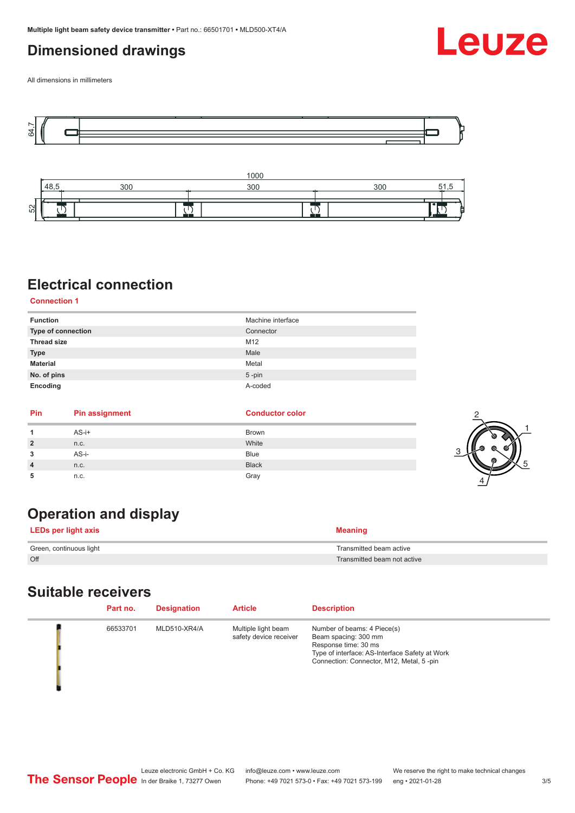## <span id="page-2-0"></span>**Dimensioned drawings**



All dimensions in millimeters





## **Electrical connection**

**Connection 1**

| <b>Function</b>    | Machine interface |
|--------------------|-------------------|
| Type of connection | Connector         |
| <b>Thread size</b> | M12               |
| <b>Type</b>        | Male              |
| <b>Material</b>    | Metal             |
| No. of pins        | $5$ -pin          |
| Encoding           | A-coded           |

| Pin            | <b>Pin assignment</b> | <b>Conductor color</b> |  |
|----------------|-----------------------|------------------------|--|
|                | $AS-i+$               | Brown                  |  |
| $\overline{2}$ | n.c.                  | White                  |  |
| 3              | AS-i-                 | Blue                   |  |
| $\overline{4}$ | n.c.                  | <b>Black</b>           |  |
| 5              | n.c.                  | Gray                   |  |

## **Operation and display**

| LEDs per light axis     | <b>Meaning</b>              |
|-------------------------|-----------------------------|
| Green, continuous light | Transmitted beam active     |
| Off                     | Transmitted beam not active |

### **Suitable receivers**

| Part no. | <b>Designation</b>  | <b>Article</b>                                | <b>Description</b>                                                                                                                                                        |
|----------|---------------------|-----------------------------------------------|---------------------------------------------------------------------------------------------------------------------------------------------------------------------------|
| 66533701 | <b>MLD510-XR4/A</b> | Multiple light beam<br>safety device receiver | Number of beams: 4 Piece(s)<br>Beam spacing: 300 mm<br>Response time: 30 ms<br>Type of interface: AS-Interface Safety at Work<br>Connection: Connector, M12, Metal, 5-pin |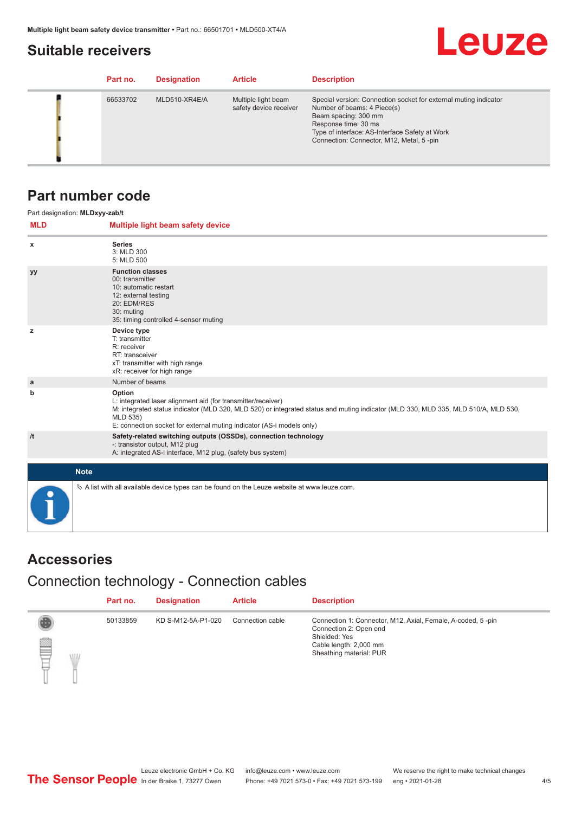## <span id="page-3-0"></span>**Suitable receivers**

## **Leuze**

| Part no. | <b>Designation</b> | <b>Article</b>                                | <b>Description</b>                                                                                                                                                                                                                            |
|----------|--------------------|-----------------------------------------------|-----------------------------------------------------------------------------------------------------------------------------------------------------------------------------------------------------------------------------------------------|
| 66533702 | MLD510-XR4E/A      | Multiple light beam<br>safety device receiver | Special version: Connection socket for external muting indicator<br>Number of beams: 4 Piece(s)<br>Beam spacing: 300 mm<br>Response time: 30 ms<br>Type of interface: AS-Interface Safety at Work<br>Connection: Connector, M12, Metal, 5-pin |

### **Part number code**

|            | Part designation: MLDxyy-zab/t                                                                                                                                                                                                                                                                    |
|------------|---------------------------------------------------------------------------------------------------------------------------------------------------------------------------------------------------------------------------------------------------------------------------------------------------|
| <b>MLD</b> | Multiple light beam safety device                                                                                                                                                                                                                                                                 |
| x          | <b>Series</b><br>3: MLD 300<br>5: MLD 500                                                                                                                                                                                                                                                         |
| <b>yy</b>  | <b>Function classes</b><br>00: transmitter<br>10: automatic restart<br>12: external testing<br>20: EDM/RES<br>30: muting<br>35: timing controlled 4-sensor muting                                                                                                                                 |
| z          | Device type<br>T: transmitter<br>R: receiver<br>RT: transceiver<br>xT: transmitter with high range<br>xR: receiver for high range                                                                                                                                                                 |
| a          | Number of beams                                                                                                                                                                                                                                                                                   |
| b          | Option<br>L: integrated laser alignment aid (for transmitter/receiver)<br>M: integrated status indicator (MLD 320, MLD 520) or integrated status and muting indicator (MLD 330, MLD 335, MLD 510/A, MLD 530,<br>MLD 535)<br>E: connection socket for external muting indicator (AS-i models only) |
| /t         | Safety-related switching outputs (OSSDs), connection technology<br>-: transistor output, M12 plug<br>A: integrated AS-i interface, M12 plug, (safety bus system)                                                                                                                                  |
|            | <b>Note</b>                                                                                                                                                                                                                                                                                       |
|            | $\&$ A list with all available device types can be found on the Leuze website at www.leuze.com.                                                                                                                                                                                                   |

## **Accessories**

## Connection technology - Connection cables

|        | Part no. | <b>Designation</b> | <b>Article</b>   | <b>Description</b>                                                                                                                                          |
|--------|----------|--------------------|------------------|-------------------------------------------------------------------------------------------------------------------------------------------------------------|
| ▤<br>W | 50133859 | KD S-M12-5A-P1-020 | Connection cable | Connection 1: Connector, M12, Axial, Female, A-coded, 5-pin<br>Connection 2: Open end<br>Shielded: Yes<br>Cable length: 2,000 mm<br>Sheathing material: PUR |